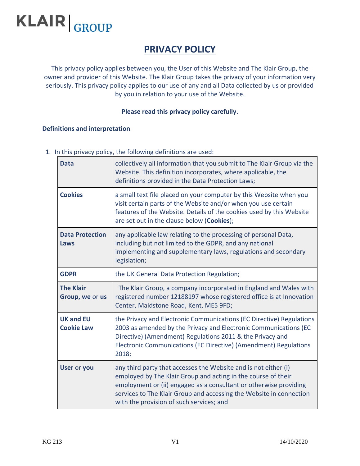# **KLAIR** GROUP

# **PRIVACY POLICY**

This privacy policy applies between you, the User of this Website and The Klair Group, the owner and provider of this Website. The Klair Group takes the privacy of your information very seriously. This privacy policy applies to our use of any and all Data collected by us or provided by you in relation to your use of the Website.

# **Please read this privacy policy carefully**.

#### **Definitions and interpretation**

1. In this privacy policy, the following definitions are used:

| <b>Data</b>                           | collectively all information that you submit to The Klair Group via the<br>Website. This definition incorporates, where applicable, the<br>definitions provided in the Data Protection Laws;                                                                                                                             |  |
|---------------------------------------|--------------------------------------------------------------------------------------------------------------------------------------------------------------------------------------------------------------------------------------------------------------------------------------------------------------------------|--|
| <b>Cookies</b>                        | a small text file placed on your computer by this Website when you<br>visit certain parts of the Website and/or when you use certain<br>features of the Website. Details of the cookies used by this Website<br>are set out in the clause below (Cookies);                                                               |  |
| <b>Data Protection</b><br>Laws        | any applicable law relating to the processing of personal Data,<br>including but not limited to the GDPR, and any national<br>implementing and supplementary laws, regulations and secondary<br>legislation;                                                                                                             |  |
| <b>GDPR</b>                           | the UK General Data Protection Regulation;                                                                                                                                                                                                                                                                               |  |
| <b>The Klair</b><br>Group, we or us   | The Klair Group, a company incorporated in England and Wales with<br>registered number 12188197 whose registered office is at Innovation<br>Center, Maidstone Road, Kent, ME5 9FD;                                                                                                                                       |  |
| <b>UK and EU</b><br><b>Cookie Law</b> | the Privacy and Electronic Communications (EC Directive) Regulations<br>2003 as amended by the Privacy and Electronic Communications (EC<br>Directive) (Amendment) Regulations 2011 & the Privacy and<br>Electronic Communications (EC Directive) (Amendment) Regulations<br>2018;                                       |  |
| <b>User or you</b>                    | any third party that accesses the Website and is not either (i)<br>employed by The Klair Group and acting in the course of their<br>employment or (ii) engaged as a consultant or otherwise providing<br>services to The Klair Group and accessing the Website in connection<br>with the provision of such services; and |  |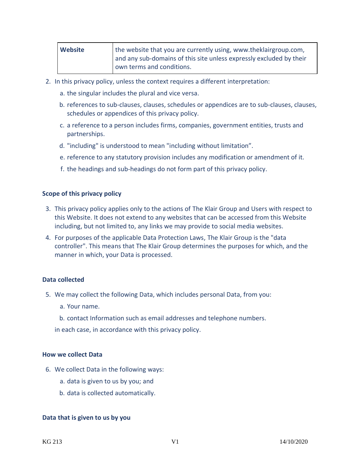| Website | the website that you are currently using, www.theklairgroup.com,    |  |
|---------|---------------------------------------------------------------------|--|
|         | and any sub-domains of this site unless expressly excluded by their |  |
|         | own terms and conditions.                                           |  |

- 2. In this privacy policy, unless the context requires a different interpretation:
	- a. the singular includes the plural and vice versa.
	- b. references to sub-clauses, clauses, schedules or appendices are to sub-clauses, clauses, schedules or appendices of this privacy policy.
	- c. a reference to a person includes firms, companies, government entities, trusts and partnerships.
	- d. "including" is understood to mean "including without limitation".
	- e. reference to any statutory provision includes any modification or amendment of it.
	- f. the headings and sub-headings do not form part of this privacy policy.

#### **Scope of this privacy policy**

- 3. This privacy policy applies only to the actions of The Klair Group and Users with respect to this Website. It does not extend to any websites that can be accessed from this Website including, but not limited to, any links we may provide to social media websites.
- 4. For purposes of the applicable Data Protection Laws, The Klair Group is the "data controller". This means that The Klair Group determines the purposes for which, and the manner in which, your Data is processed.

#### **Data collected**

- 5. We may collect the following Data, which includes personal Data, from you:
	- a. Your name.
	- b. contact Information such as email addresses and telephone numbers.

in each case, in accordance with this privacy policy.

#### **How we collect Data**

- 6. We collect Data in the following ways:
	- a. data is given to us by you; and
	- b. data is collected automatically.

#### **Data that is given to us by you**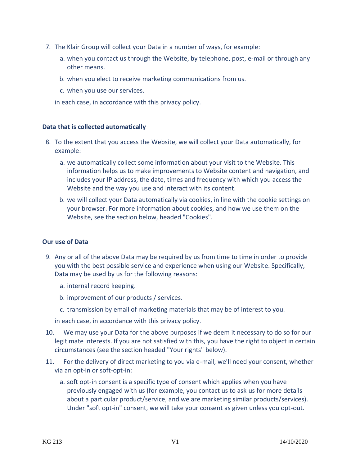- 7. The Klair Group will collect your Data in a number of ways, for example:
	- a. when you contact us through the Website, by telephone, post, e-mail or through any other means.
	- b. when you elect to receive marketing communications from us.
	- c. when you use our services.

in each case, in accordance with this privacy policy.

# **Data that is collected automatically**

- 8. To the extent that you access the Website, we will collect your Data automatically, for example:
	- a. we automatically collect some information about your visit to the Website. This information helps us to make improvements to Website content and navigation, and includes your IP address, the date, times and frequency with which you access the Website and the way you use and interact with its content.
	- b. we will collect your Data automatically via cookies, in line with the cookie settings on your browser. For more information about cookies, and how we use them on the Website, see the section below, headed "Cookies".

# **Our use of Data**

- 9. Any or all of the above Data may be required by us from time to time in order to provide you with the best possible service and experience when using our Website. Specifically, Data may be used by us for the following reasons:
	- a. internal record keeping.
	- b. improvement of our products / services.
	- c. transmission by email of marketing materials that may be of interest to you.

in each case, in accordance with this privacy policy.

- 10. We may use your Data for the above purposes if we deem it necessary to do so for our legitimate interests. If you are not satisfied with this, you have the right to object in certain circumstances (see the section headed "Your rights" below).
- 11. For the delivery of direct marketing to you via e-mail, we'll need your consent, whether via an opt-in or soft-opt-in:
	- a. soft opt-in consent is a specific type of consent which applies when you have previously engaged with us (for example, you contact us to ask us for more details about a particular product/service, and we are marketing similar products/services). Under "soft opt-in" consent, we will take your consent as given unless you opt-out.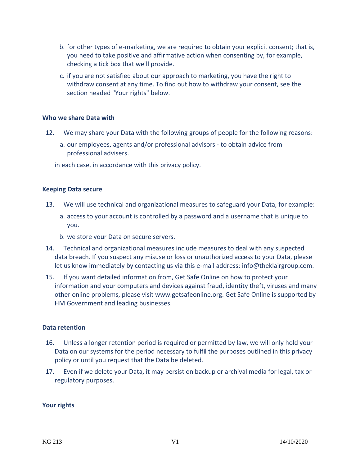- b. for other types of e-marketing, we are required to obtain your explicit consent; that is, you need to take positive and affirmative action when consenting by, for example, checking a tick box that we'll provide.
- c. if you are not satisfied about our approach to marketing, you have the right to withdraw consent at any time. To find out how to withdraw your consent, see the section headed "Your rights" below.

#### **Who we share Data with**

- 12. We may share your Data with the following groups of people for the following reasons:
	- a. our employees, agents and/or professional advisors to obtain advice from professional advisers.

in each case, in accordance with this privacy policy.

#### **Keeping Data secure**

- 13. We will use technical and organizational measures to safeguard your Data, for example:
	- a. access to your account is controlled by a password and a username that is unique to you.
	- b. we store your Data on secure servers.
- 14. Technical and organizational measures include measures to deal with any suspected data breach. If you suspect any misuse or loss or unauthorized access to your Data, please let us know immediately by contacting us via this e-mail address: info@theklairgroup.com.
- 15. If you want detailed information from, Get Safe Online on how to protect your information and your computers and devices against fraud, identity theft, viruses and many other online problems, please visit www.getsafeonline.org. Get Safe Online is supported by HM Government and leading businesses.

#### **Data retention**

- 16. Unless a longer retention period is required or permitted by law, we will only hold your Data on our systems for the period necessary to fulfil the purposes outlined in this privacy policy or until you request that the Data be deleted.
- 17. Even if we delete your Data, it may persist on backup or archival media for legal, tax or regulatory purposes.

#### **Your rights**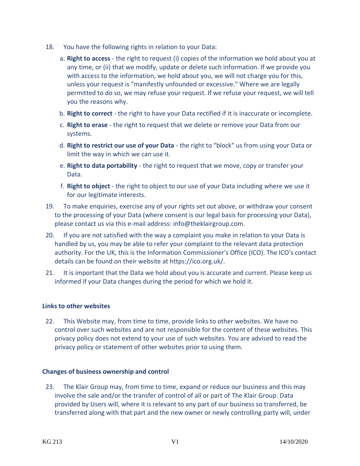- 18. You have the following rights in relation to your Data:
	- a. **Right to access** the right to request (i) copies of the information we hold about you at any time, or (ii) that we modify, update or delete such information. If we provide you with access to the information, we hold about you, we will not charge you for this, unless your request is "manifestly unfounded or excessive." Where we are legally permitted to do so, we may refuse your request. If we refuse your request, we will tell you the reasons why.
	- b. **Right to correct** the right to have your Data rectified if it is inaccurate or incomplete.
	- c. **Right to erase** the right to request that we delete or remove your Data from our systems.
	- d. **Right to restrict our use of your Data** the right to "block" us from using your Data or limit the way in which we can use it.
	- e. **Right to data portability** the right to request that we move, copy or transfer your Data.
	- f. **Right to object** the right to object to our use of your Data including where we use it for our legitimate interests.
- 19. To make enquiries, exercise any of your rights set out above, or withdraw your consent to the processing of your Data (where consent is our legal basis for processing your Data), please contact us via this e-mail address: info@theklairgroup.com.
- 20. If you are not satisfied with the way a complaint you make in relation to your Data is handled by us, you may be able to refer your complaint to the relevant data protection authority. For the UK, this is the Information Commissioner's Office (ICO). The ICO's contact details can be found on their website at https://ico.org.uk/.
- 21. It is important that the Data we hold about you is accurate and current. Please keep us informed if your Data changes during the period for which we hold it.

# **Links to other websites**

22. This Website may, from time to time, provide links to other websites. We have no control over such websites and are not responsible for the content of these websites. This privacy policy does not extend to your use of such websites. You are advised to read the privacy policy or statement of other websites prior to using them.

# **Changes of business ownership and control**

23. The Klair Group may, from time to time, expand or reduce our business and this may involve the sale and/or the transfer of control of all or part of The Klair Group. Data provided by Users will, where it is relevant to any part of our business so transferred, be transferred along with that part and the new owner or newly controlling party will, under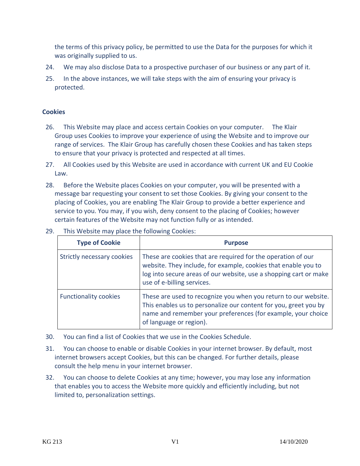the terms of this privacy policy, be permitted to use the Data for the purposes for which it was originally supplied to us.

- 24. We may also disclose Data to a prospective purchaser of our business or any part of it.
- 25. In the above instances, we will take steps with the aim of ensuring your privacy is protected.

# **Cookies**

- 26. This Website may place and access certain Cookies on your computer. The Klair Group uses Cookies to improve your experience of using the Website and to improve our range of services. The Klair Group has carefully chosen these Cookies and has taken steps to ensure that your privacy is protected and respected at all times.
- 27. All Cookies used by this Website are used in accordance with current UK and EU Cookie Law.
- 28. Before the Website places Cookies on your computer, you will be presented with a message bar requesting your consent to set those Cookies. By giving your consent to the placing of Cookies, you are enabling The Klair Group to provide a better experience and service to you. You may, if you wish, deny consent to the placing of Cookies; however certain features of the Website may not function fully or as intended.

| <b>Type of Cookie</b>        | <b>Purpose</b>                                                                                                                                                                                                                    |
|------------------------------|-----------------------------------------------------------------------------------------------------------------------------------------------------------------------------------------------------------------------------------|
| Strictly necessary cookies   | These are cookies that are required for the operation of our<br>website. They include, for example, cookies that enable you to<br>log into secure areas of our website, use a shopping cart or make<br>use of e-billing services. |
| <b>Functionality cookies</b> | These are used to recognize you when you return to our website.<br>This enables us to personalize our content for you, greet you by<br>name and remember your preferences (for example, your choice<br>of language or region).    |

29. This Website may place the following Cookies:

- 30. You can find a list of Cookies that we use in the Cookies Schedule.
- 31. You can choose to enable or disable Cookies in your internet browser. By default, most internet browsers accept Cookies, but this can be changed. For further details, please consult the help menu in your internet browser.
- 32. You can choose to delete Cookies at any time; however, you may lose any information that enables you to access the Website more quickly and efficiently including, but not limited to, personalization settings.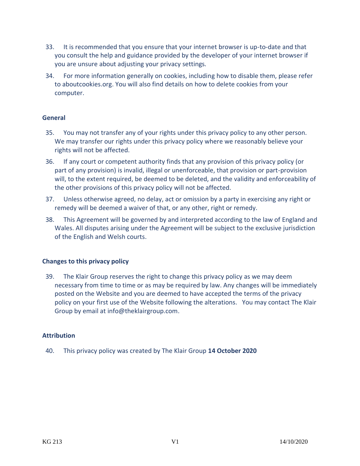- 33. It is recommended that you ensure that your internet browser is up-to-date and that you consult the help and guidance provided by the developer of your internet browser if you are unsure about adjusting your privacy settings.
- 34. For more information generally on cookies, including how to disable them, please refer to aboutcookies.org. You will also find details on how to delete cookies from your computer.

# **General**

- 35. You may not transfer any of your rights under this privacy policy to any other person. We may transfer our rights under this privacy policy where we reasonably believe your rights will not be affected.
- 36. If any court or competent authority finds that any provision of this privacy policy (or part of any provision) is invalid, illegal or unenforceable, that provision or part-provision will, to the extent required, be deemed to be deleted, and the validity and enforceability of the other provisions of this privacy policy will not be affected.
- 37. Unless otherwise agreed, no delay, act or omission by a party in exercising any right or remedy will be deemed a waiver of that, or any other, right or remedy.
- 38. This Agreement will be governed by and interpreted according to the law of England and Wales. All disputes arising under the Agreement will be subject to the exclusive jurisdiction of the English and Welsh courts.

# **Changes to this privacy policy**

39. The Klair Group reserves the right to change this privacy policy as we may deem necessary from time to time or as may be required by law. Any changes will be immediately posted on the Website and you are deemed to have accepted the terms of the privacy policy on your first use of the Website following the alterations. You may contact The Klair Group by email at info@theklairgroup.com.

# **Attribution**

40. This privacy policy was created by The Klair Group **14 October 2020**